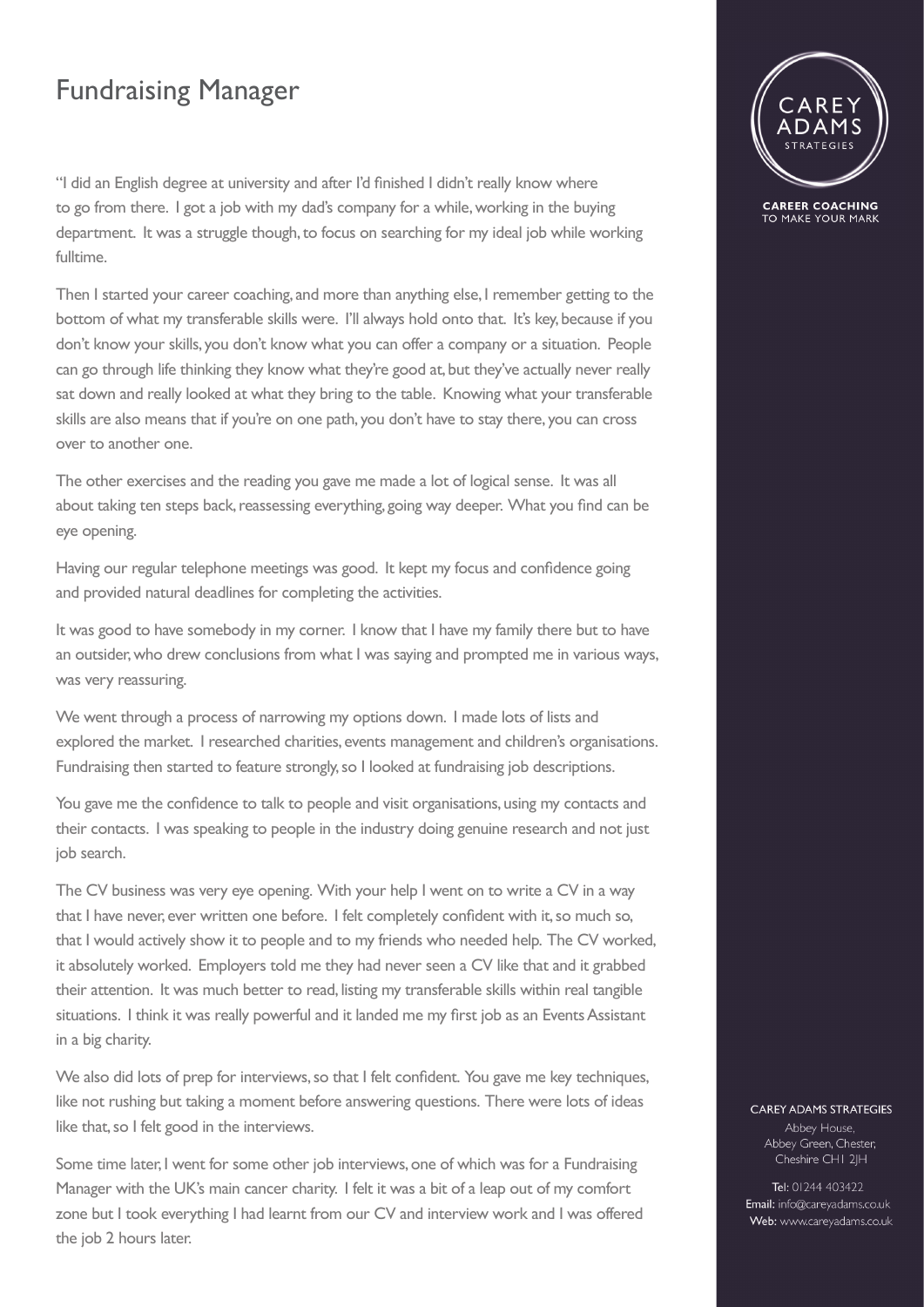## Fundraising Manager

"I did an English degree at university and after I'd finished I didn't really know where to go from there. I got a job with my dad's company for a while, working in the buying department. It was a struggle though, to focus on searching for my ideal job while working fulltime.

Then I started your career coaching, and more than anything else, I remember getting to the bottom of what my transferable skills were. I'll always hold onto that. It's key, because if you don't know your skills, you don't know what you can offer a company or a situation. People can go through life thinking they know what they're good at, but they've actually never really sat down and really looked at what they bring to the table. Knowing what your transferable skills are also means that if you're on one path, you don't have to stay there, you can cross over to another one.

The other exercises and the reading you gave me made a lot of logical sense. It was all about taking ten steps back, reassessing everything, going way deeper. What you find can be eye opening.

Having our regular telephone meetings was good. It kept my focus and confidence going and provided natural deadlines for completing the activities.

It was good to have somebody in my corner. I know that I have my family there but to have an outsider, who drew conclusions from what I was saying and prompted me in various ways, was very reassuring.

We went through a process of narrowing my options down. I made lots of lists and explored the market. I researched charities, events management and children's organisations. Fundraising then started to feature strongly, so I looked at fundraising job descriptions.

You gave me the confidence to talk to people and visit organisations, using my contacts and their contacts. I was speaking to people in the industry doing genuine research and not just job search.

The CV business was very eye opening. With your help I went on to write a CV in a way that I have never, ever written one before. I felt completely confident with it, so much so, that I would actively show it to people and to my friends who needed help. The CV worked, it absolutely worked. Employers told me they had never seen a CV like that and it grabbed their attention. It was much better to read, listing my transferable skills within real tangible situations. I think it was really powerful and it landed me my first job as an Events Assistant in a big charity.

We also did lots of prep for interviews, so that I felt confident. You gave me key techniques, like not rushing but taking a moment before answering questions. There were lots of ideas like that, so I felt good in the interviews.

Some time later, I went for some other job interviews, one of which was for a Fundraising Manager with the UK's main cancer charity. I felt it was a bit of a leap out of my comfort zone but I took everything I had learnt from our CV and interview work and I was offered the job 2 hours later.



**CAREER COACHING** TO MAKE YOUR MARK

## **CAREY ADAMS STRATEGIES**

Abbey House, Abbey Green, Chester, Cheshire CHI 2JH

Tel: 01244 403422 Email: info@careyadams.co.uk Web: www.careyadams.co.uk